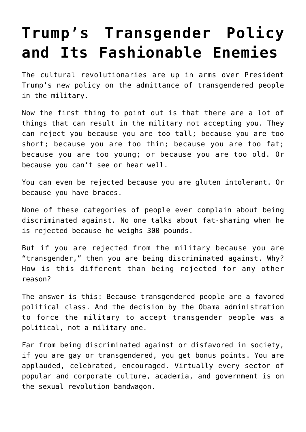## **[Trump's Transgender Policy](https://intellectualtakeout.org/2017/07/trumps-transgender-policy-and-its-fashionable-enemies/) [and Its Fashionable Enemies](https://intellectualtakeout.org/2017/07/trumps-transgender-policy-and-its-fashionable-enemies/)**

The cultural revolutionaries are up in arms over President Trump's new policy on the admittance of transgendered people in the military.

Now the first thing to point out is that there are a lot of things that can result in the military not accepting you. They can reject you because you are too tall; because you are too short; because you are too thin; because you are too fat; because you are too young; or because you are too old. Or because you can't see or hear well.

You can even be rejected because you are gluten intolerant. Or because you have braces.

None of these categories of people ever complain about being discriminated against. No one talks about fat-shaming when he is rejected because he weighs 300 pounds.

But if you are rejected from the military because you are "transgender," then you are being discriminated against. Why? How is this different than being rejected for any other reason?

The answer is this: Because transgendered people are a favored political class. And the decision by the Obama administration to force the military to accept transgender people was a political, not a military one.

Far from being discriminated against or disfavored in society, if you are gay or transgendered, you get bonus points. You are applauded, celebrated, encouraged. Virtually every sector of popular and corporate culture, academia, and government is on the sexual revolution bandwagon.